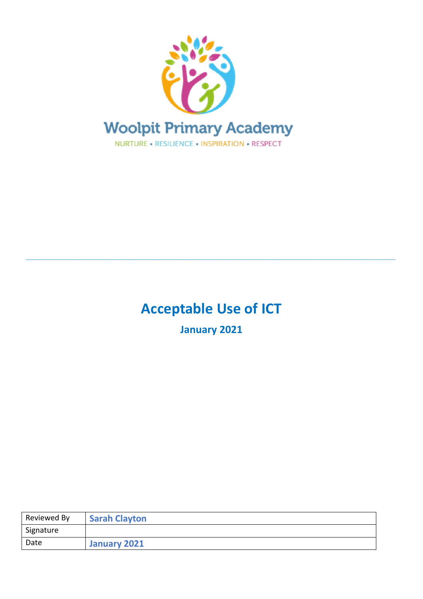

# **Acceptable Use of ICT**

**\_\_\_\_\_\_\_\_\_\_\_\_\_\_\_\_\_\_\_\_\_\_\_\_\_\_\_\_\_\_\_\_\_\_\_\_\_\_\_\_\_\_\_\_\_\_\_\_\_\_\_\_\_\_\_\_\_\_\_\_\_\_\_\_\_\_\_\_\_\_\_\_\_\_\_\_\_\_**

**January 2021**

| Reviewed By | <b>Sarah Clayton</b> |
|-------------|----------------------|
| Signature   |                      |
| Date        | January 2021         |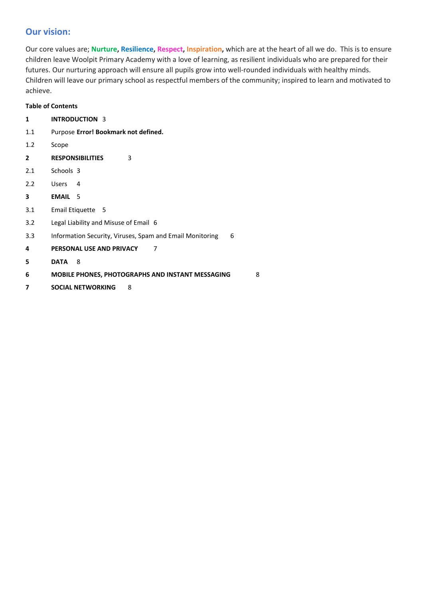# **Our vision:**

Our core values are; **Nurture, Resilience, Respect, Inspiration,** which are at the heart of all we do. This is to ensure children leave Woolpit Primary Academy with a love of learning, as resilient individuals who are prepared for their futures. Our nurturing approach will ensure all pupils grow into well-rounded individuals with healthy minds. Children will leave our primary school as respectful members of the community; inspired to learn and motivated to achieve.

# **Table of Contents**

| 1              | <b>INTRODUCTION 3</b>                                         |
|----------------|---------------------------------------------------------------|
| 1.1            | Purpose Error! Bookmark not defined.                          |
| 1.2            | Scope                                                         |
| $\overline{2}$ | <b>RESPONSIBILITIES</b><br>3                                  |
| 2.1            | Schools 3                                                     |
| 2.2            | <b>Users</b><br>4                                             |
| 3              | <b>EMAIL</b><br>- 5                                           |
| 3.1            | Email Etiquette 5                                             |
| 3.2            | Legal Liability and Misuse of Email 6                         |
| 3.3            | Information Security, Viruses, Spam and Email Monitoring<br>6 |
| 4              | PERSONAL USE AND PRIVACY<br>7                                 |
| 5              | <b>DATA</b><br>8                                              |
| 6              | <b>MOBILE PHONES, PHOTOGRAPHS AND INSTANT MESSAGING</b><br>8  |
| 7              | <b>SOCIAL NETWORKING</b><br>8                                 |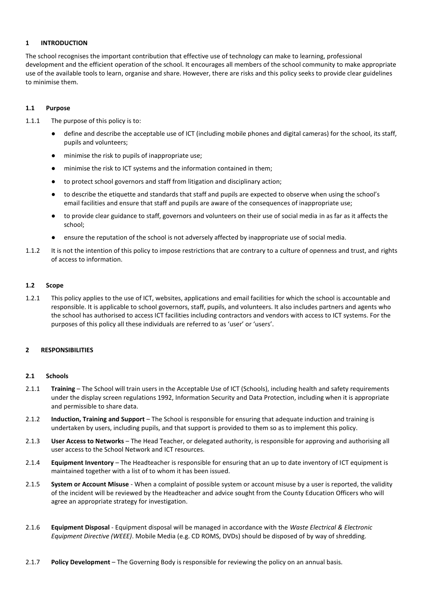#### **1 INTRODUCTION**

The school recognises the important contribution that effective use of technology can make to learning, professional development and the efficient operation of the school. It encourages all members of the school community to make appropriate use of the available tools to learn, organise and share. However, there are risks and this policy seeks to provide clear guidelines to minimise them.

#### **1.1 Purpose**

- 1.1.1 The purpose of this policy is to:
	- define and describe the acceptable use of ICT (including mobile phones and digital cameras) for the school, its staff, pupils and volunteers;
	- minimise the risk to pupils of inappropriate use;
	- minimise the risk to ICT systems and the information contained in them;
	- to protect school governors and staff from litigation and disciplinary action;
	- to describe the etiquette and standards that staff and pupils are expected to observe when using the school's email facilities and ensure that staff and pupils are aware of the consequences of inappropriate use;
	- to provide clear guidance to staff, governors and volunteers on their use of social media in as far as it affects the school;
	- ensure the reputation of the school is not adversely affected by inappropriate use of social media.
- 1.1.2 It is not the intention of this policy to impose restrictions that are contrary to a culture of openness and trust, and rights of access to information.

#### **1.2 Scope**

1.2.1 This policy applies to the use of ICT, websites, applications and email facilities for which the school is accountable and responsible. It is applicable to school governors, staff, pupils, and volunteers. It also includes partners and agents who the school has authorised to access ICT facilities including contractors and vendors with access to ICT systems. For the purposes of this policy all these individuals are referred to as 'user' or 'users'.

#### **2 RESPONSIBILITIES**

#### **2.1 Schools**

- 2.1.1 **Training** The School will train users in the Acceptable Use of ICT (Schools), including health and safety requirements under the display screen regulations 1992, Information Security and Data Protection, including when it is appropriate and permissible to share data.
- 2.1.2 **Induction, Training and Support** The School is responsible for ensuring that adequate induction and training is undertaken by users, including pupils, and that support is provided to them so as to implement this policy.
- 2.1.3 **User Access to Networks** The Head Teacher, or delegated authority, is responsible for approving and authorising all user access to the School Network and ICT resources.
- 2.1.4 **Equipment Inventory**  The Headteacher is responsible for ensuring that an up to date inventory of ICT equipment is maintained together with a list of to whom it has been issued.
- 2.1.5 **System or Account Misuse** When a complaint of possible system or account misuse by a user is reported, the validity of the incident will be reviewed by the Headteacher and advice sought from the County Education Officers who will agree an appropriate strategy for investigation.
- 2.1.6 **Equipment Disposal** Equipment disposal will be managed in accordance with the *Waste Electrical & Electronic Equipment Directive (WEEE)*. Mobile Media (e.g. CD ROMS, DVDs) should be disposed of by way of shredding.
- 2.1.7 **Policy Development**  The Governing Body is responsible for reviewing the policy on an annual basis.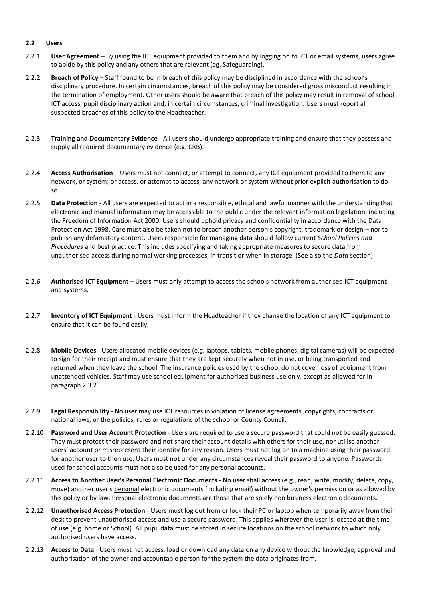#### **2.2 Users**

- 2.2.1 **User Agreement** By using the ICT equipment provided to them and by logging on to ICT or email systems, users agree to abide by this policy and any others that are relevant (eg. Safeguarding).
- 2.2.2 **Breach of Policy**  Staff found to be in breach of this policy may be disciplined in accordance with the school's disciplinary procedure. In certain circumstances, breach of this policy may be considered gross misconduct resulting in the termination of employment. Other users should be aware that breach of this policy may result in removal of school ICT access, pupil disciplinary action and, in certain circumstances, criminal investigation. Users must report all suspected breaches of this policy to the Headteacher.
- 2.2.3 **Training and Documentary Evidence** All users should undergo appropriate training and ensure that they possess and supply all required documentary evidence (e.g. CRB).
- 2.2.4 **Access Authorisation** Users must not connect, or attempt to connect, any ICT equipment provided to them to any network, or system; or access, or attempt to access, any network or system without prior explicit authorisation to do so.
- 2.2.5 **Data Protection** All users are expected to act in a responsible, ethical and lawful manner with the understanding that electronic and manual information may be accessible to the public under the relevant information legislation, including the Freedom of Information Act 2000. Users should uphold privacy and confidentiality in accordance with the Data Protection Act 1998. Care must also be taken not to breach another person's copyright, trademark or design – nor to publish any defamatory content. Users responsible for managing data should follow current *School Policies and Procedures* and best practice. This includes specifying and taking appropriate measures to secure data from unauthorised access during normal working processes, in transit or when in storage. (See also the *Data* section)
- 2.2.6 **Authorised ICT Equipment** Users must only attempt to access the schools network from authorised ICT equipment and systems.
- 2.2.7 **Inventory of ICT Equipment** Users must inform the Headteacher if they change the location of any ICT equipment to ensure that it can be found easily.
- 2.2.8 **Mobile Devices** Users allocated mobile devices (e.g. laptops, tablets, mobile phones, digital cameras) will be expected to sign for their receipt and must ensure that they are kept securely when not in use, or being transported and returned when they leave the school. The insurance policies used by the school do not cover loss of equipment from unattended vehicles. Staff may use school equipment for authorised business use only, except as allowed for in paragraph 2.3.2.
- 2.2.9 **Legal Responsibility** No user may use ICT resources in violation of license agreements, copyrights, contracts or national laws, or the policies, rules or regulations of the school or County Council.
- 2.2.10 **Password and User Account Protection** Users are required to use a secure password that could not be easily guessed. They must protect their password and not share their account details with others for their use, nor utilise another users' account or misrepresent their identity for any reason. Users must not log on to a machine using their password for another user to then use. Users must not under any circumstances reveal their password to anyone. Passwords used for school accounts must not also be used for any personal accounts.
- 2.2.11 **Access to Another User's Personal Electronic Documents** No user shall access (e.g., read, write, modify, delete, copy, move) another user's personal electronic documents (including email) without the owner's permission or as allowed by this policy or by law. Personal electronic documents are those that are solely non business electronic documents.
- 2.2.12 **Unauthorised Access Protection** Users must log out from or lock their PC or laptop when temporarily away from their desk to prevent unauthorised access and use a secure password. This applies wherever the user is located at the time of use (e.g. home or School). All pupil data must be stored in secure locations on the school network to which only authorised users have access.
- 2.2.13 **Access to Data** Users must not access, load or download any data on any device without the knowledge, approval and authorisation of the owner and accountable person for the system the data originates from.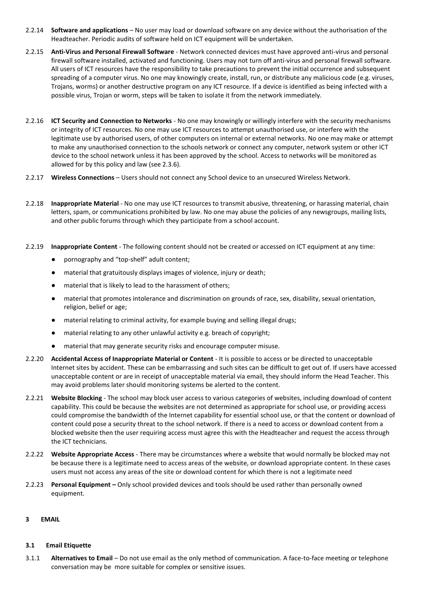- 2.2.14 **Software and applications**  No user may load or download software on any device without the authorisation of the Headteacher. Periodic audits of software held on ICT equipment will be undertaken.
- 2.2.15 **Anti-Virus and Personal Firewall Software** Network connected devices must have approved anti-virus and personal firewall software installed, activated and functioning. Users may not turn off anti-virus and personal firewall software. All users of ICT resources have the responsibility to take precautions to prevent the initial occurrence and subsequent spreading of a computer virus. No one may knowingly create, install, run, or distribute any malicious code (e.g. viruses, Trojans, worms) or another destructive program on any ICT resource. If a device is identified as being infected with a possible virus, Trojan or worm, steps will be taken to isolate it from the network immediately.
- 2.2.16 **ICT Security and Connection to Networks** No one may knowingly or willingly interfere with the security mechanisms or integrity of ICT resources. No one may use ICT resources to attempt unauthorised use, or interfere with the legitimate use by authorised users, of other computers on internal or external networks. No one may make or attempt to make any unauthorised connection to the schools network or connect any computer, network system or other ICT device to the school network unless it has been approved by the school. Access to networks will be monitored as allowed for by this policy and law (see 2.3.6).
- 2.2.17 **Wireless Connections**  Users should not connect any School device to an unsecured Wireless Network.
- 2.2.18 **Inappropriate Material** No one may use ICT resources to transmit abusive, threatening, or harassing material, chain letters, spam, or communications prohibited by law. No one may abuse the policies of any newsgroups, mailing lists, and other public forums through which they participate from a school account.
- 2.2.19 **Inappropriate Content** The following content should not be created or accessed on ICT equipment at any time:
	- pornography and "top-shelf" adult content;
	- material that gratuitously displays images of violence, injury or death;
	- material that is likely to lead to the harassment of others;
	- material that promotes intolerance and discrimination on grounds of race, sex, disability, sexual orientation, religion, belief or age;
	- material relating to criminal activity, for example buying and selling illegal drugs;
	- material relating to any other unlawful activity e.g. breach of copyright;
	- material that may generate security risks and encourage computer misuse.
- 2.2.20 **Accidental Access of Inappropriate Material or Content** It is possible to access or be directed to unacceptable Internet sites by accident. These can be embarrassing and such sites can be difficult to get out of. If users have accessed unacceptable content or are in receipt of unacceptable material via email, they should inform the Head Teacher. This may avoid problems later should monitoring systems be alerted to the content.
- 2.2.21 **Website Blocking** The school may block user access to various categories of websites, including download of content capability. This could be because the websites are not determined as appropriate for school use, or providing access could compromise the bandwidth of the Internet capability for essential school use, or that the content or download of content could pose a security threat to the school network. If there is a need to access or download content from a blocked website then the user requiring access must agree this with the Headteacher and request the access through the ICT technicians.
- 2.2.22 **Website Appropriate Access**  There may be circumstances where a website that would normally be blocked may not be because there is a legitimate need to access areas of the website, or download appropriate content. In these cases users must not access any areas of the site or download content for which there is not a legitimate need
- 2.2.23 **Personal Equipment –** Only school provided devices and tools should be used rather than personally owned equipment.

#### **3 EMAIL**

#### **3.1 Email Etiquette**

3.1.1 **Alternatives to Email** – Do not use email as the only method of communication. A face-to-face meeting or telephone conversation may be more suitable for complex or sensitive issues.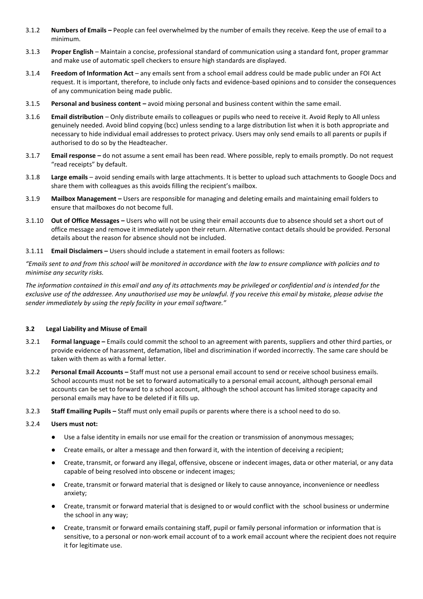- 3.1.2 **Numbers of Emails –** People can feel overwhelmed by the number of emails they receive. Keep the use of email to a minimum.
- 3.1.3 **Proper English** Maintain a concise, professional standard of communication using a standard font, proper grammar and make use of automatic spell checkers to ensure high standards are displayed.
- 3.1.4 **Freedom of Information Act**  any emails sent from a school email address could be made public under an FOI Act request. It is important, therefore, to include only facts and evidence-based opinions and to consider the consequences of any communication being made public.
- 3.1.5 **Personal and business content –** avoid mixing personal and business content within the same email.
- 3.1.6 **Email distribution**  Only distribute emails to colleagues or pupils who need to receive it. Avoid Reply to All unless genuinely needed. Avoid blind copying (bcc) unless sending to a large distribution list when it is both appropriate and necessary to hide individual email addresses to protect privacy. Users may only send emails to all parents or pupils if authorised to do so by the Headteacher.
- 3.1.7 **Email response –** do not assume a sent email has been read. Where possible, reply to emails promptly. Do not request "read receipts" by default.
- 3.1.8 **Large emails**  avoid sending emails with large attachments. It is better to upload such attachments to Google Docs and share them with colleagues as this avoids filling the recipient's mailbox.
- 3.1.9 **Mailbox Management –** Users are responsible for managing and deleting emails and maintaining email folders to ensure that mailboxes do not become full.
- 3.1.10 **Out of Office Messages –** Users who will not be using their email accounts due to absence should set a short out of office message and remove it immediately upon their return. Alternative contact details should be provided. Personal details about the reason for absence should not be included.
- 3.1.11 **Email Disclaimers –** Users should include a statement in email footers as follows:

*"Emails sent to and from this school will be monitored in accordance with the law to ensure compliance with policies and to minimise any security risks.* 

*The information contained in this email and any of its attachments may be privileged or confidential and is intended for the exclusive use of the addressee. Any unauthorised use may be unlawful. If you receive this email by mistake, please advise the sender immediately by using the reply facility in your email software."*

## **3.2 Legal Liability and Misuse of Email**

- 3.2.1 **Formal language –** Emails could commit the school to an agreement with parents, suppliers and other third parties, or provide evidence of harassment, defamation, libel and discrimination if worded incorrectly. The same care should be taken with them as with a formal letter.
- 3.2.2 **Personal Email Accounts –** Staff must not use a personal email account to send or receive school business emails. School accounts must not be set to forward automatically to a personal email account, although personal email accounts can be set to forward to a school account, although the school account has limited storage capacity and personal emails may have to be deleted if it fills up.
- 3.2.3 **Staff Emailing Pupils –** Staff must only email pupils or parents where there is a school need to do so.

#### 3.2.4 **Users must not:**

- Use a false identity in emails nor use email for the creation or transmission of anonymous messages;
- Create emails, or alter a message and then forward it, with the intention of deceiving a recipient;
- Create, transmit, or forward any illegal, offensive, obscene or indecent images, data or other material, or any data capable of being resolved into obscene or indecent images;
- Create, transmit or forward material that is designed or likely to cause annoyance, inconvenience or needless anxiety;
- Create, transmit or forward material that is designed to or would conflict with the school business or undermine the school in any way;
- Create, transmit or forward emails containing staff, pupil or family personal information or information that is sensitive, to a personal or non-work email account of to a work email account where the recipient does not require it for legitimate use.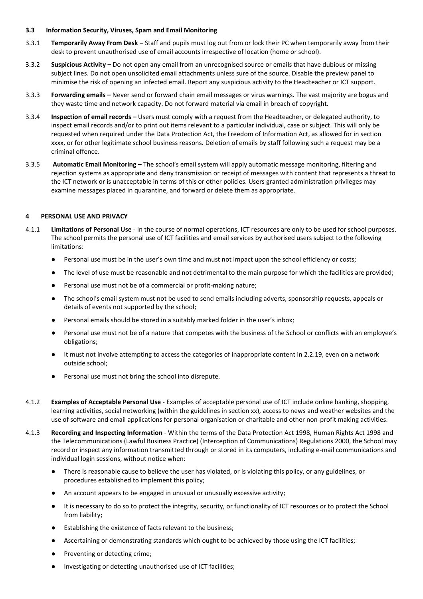#### **3.3 Information Security, Viruses, Spam and Email Monitoring**

- 3.3.1 **Temporarily Away From Desk –** Staff and pupils must log out from or lock their PC when temporarily away from their desk to prevent unauthorised use of email accounts irrespective of location (home or school).
- 3.3.2 **Suspicious Activity –** Do not open any email from an unrecognised source or emails that have dubious or missing subject lines. Do not open unsolicited email attachments unless sure of the source. Disable the preview panel to minimise the risk of opening an infected email. Report any suspicious activity to the Headteacher or ICT support.
- 3.3.3 **Forwarding emails –** Never send or forward chain email messages or virus warnings. The vast majority are bogus and they waste time and network capacity. Do not forward material via email in breach of copyright.
- 3.3.4 **Inspection of email records –** Users must comply with a request from the Headteacher, or delegated authority, to inspect email records and/or to print out items relevant to a particular individual, case or subject. This will only be requested when required under the Data Protection Act, the Freedom of Information Act, as allowed for in section xxxx, or for other legitimate school business reasons. Deletion of emails by staff following such a request may be a criminal offence.
- 3.3.5 **Automatic Email Monitoring –** The school's email system will apply automatic message monitoring, filtering and rejection systems as appropriate and deny transmission or receipt of messages with content that represents a threat to the ICT network or is unacceptable in terms of this or other policies. Users granted administration privileges may examine messages placed in quarantine, and forward or delete them as appropriate.

#### **4 PERSONAL USE AND PRIVACY**

- 4.1.1 **Limitations of Personal Use** In the course of normal operations, ICT resources are only to be used for school purposes. The school permits the personal use of ICT facilities and email services by authorised users subject to the following limitations:
	- Personal use must be in the user's own time and must not impact upon the school efficiency or costs;
	- The level of use must be reasonable and not detrimental to the main purpose for which the facilities are provided;
	- Personal use must not be of a commercial or profit-making nature;
	- The school's email system must not be used to send emails including adverts, sponsorship requests, appeals or details of events not supported by the school;
	- Personal emails should be stored in a suitably marked folder in the user's inbox;
	- Personal use must not be of a nature that competes with the business of the School or conflicts with an employee's obligations;
	- It must not involve attempting to access the categories of inappropriate content in 2.2.19, even on a network outside school;
	- Personal use must not bring the school into disrepute.
- 4.1.2 **Examples of Acceptable Personal Use** Examples of acceptable personal use of ICT include online banking, shopping, learning activities, social networking (within the guidelines in section xx), access to news and weather websites and the use of software and email applications for personal organisation or charitable and other non-profit making activities.
- 4.1.3 **Recording and Inspecting Information** Within the terms of the Data Protection Act 1998, Human Rights Act 1998 and the Telecommunications (Lawful Business Practice) (Interception of Communications) Regulations 2000, the School may record or inspect any information transmitted through or stored in its computers, including e-mail communications and individual login sessions, without notice when:
	- There is reasonable cause to believe the user has violated, or is violating this policy, or any guidelines, or procedures established to implement this policy;
	- An account appears to be engaged in unusual or unusually excessive activity;
	- It is necessary to do so to protect the integrity, security, or functionality of ICT resources or to protect the School from liability;
	- Establishing the existence of facts relevant to the business;
	- Ascertaining or demonstrating standards which ought to be achieved by those using the ICT facilities;
	- Preventing or detecting crime;
	- Investigating or detecting unauthorised use of ICT facilities;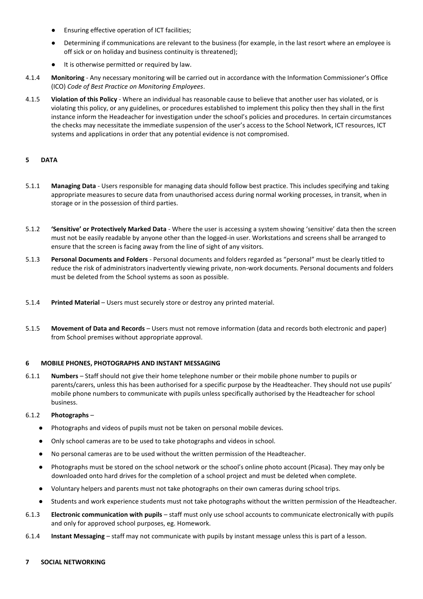- Ensuring effective operation of ICT facilities;
- Determining if communications are relevant to the business (for example, in the last resort where an employee is off sick or on holiday and business continuity is threatened);
- It is otherwise permitted or required by law.
- 4.1.4 **Monitoring** Any necessary monitoring will be carried out in accordance with the Information Commissioner's Office (ICO) *Code of Best Practice on Monitoring Employees*.
- 4.1.5 **Violation of this Policy** Where an individual has reasonable cause to believe that another user has violated, or is violating this policy, or any guidelines, or procedures established to implement this policy then they shall in the first instance inform the Headeacher for investigation under the school's policies and procedures. In certain circumstances the checks may necessitate the immediate suspension of the user's access to the School Network, ICT resources, ICT systems and applications in order that any potential evidence is not compromised.

## **5 DATA**

- 5.1.1 **Managing Data** Users responsible for managing data should follow best practice. This includes specifying and taking appropriate measures to secure data from unauthorised access during normal working processes, in transit, when in storage or in the possession of third parties.
- 5.1.2 **'Sensitive' or Protectively Marked Data** Where the user is accessing a system showing 'sensitive' data then the screen must not be easily readable by anyone other than the logged-in user. Workstations and screens shall be arranged to ensure that the screen is facing away from the line of sight of any visitors.
- 5.1.3 **Personal Documents and Folders** Personal documents and folders regarded as "personal" must be clearly titled to reduce the risk of administrators inadvertently viewing private, non-work documents. Personal documents and folders must be deleted from the School systems as soon as possible.
- 5.1.4 **Printed Material** Users must securely store or destroy any printed material.
- 5.1.5 **Movement of Data and Records** Users must not remove information (data and records both electronic and paper) from School premises without appropriate approval.

#### **6 MOBILE PHONES, PHOTOGRAPHS AND INSTANT MESSAGING**

6.1.1 **Numbers** – Staff should not give their home telephone number or their mobile phone number to pupils or parents/carers, unless this has been authorised for a specific purpose by the Headteacher. They should not use pupils' mobile phone numbers to communicate with pupils unless specifically authorised by the Headteacher for school business.

#### 6.1.2 **Photographs** –

- Photographs and videos of pupils must not be taken on personal mobile devices.
- Only school cameras are to be used to take photographs and videos in school.
- No personal cameras are to be used without the written permission of the Headteacher.
- Photographs must be stored on the school network or the school's online photo account (Picasa). They may only be downloaded onto hard drives for the completion of a school project and must be deleted when complete.
- Voluntary helpers and parents must not take photographs on their own cameras during school trips.
- Students and work experience students must not take photographs without the written permission of the Headteacher.
- 6.1.3 **Electronic communication with pupils**  staff must only use school accounts to communicate electronically with pupils and only for approved school purposes, eg. Homework.
- 6.1.4 **Instant Messaging**  staff may not communicate with pupils by instant message unless this is part of a lesson.